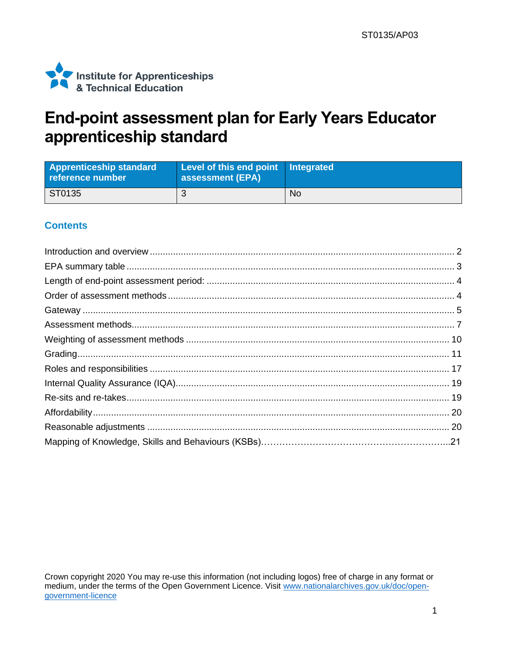

## End-point assessment plan for Early Years Educator apprenticeship standard

| <b>Apprenticeship standard</b><br>reference number | Level of this end point Integrated<br>assessment (EPA) |    |
|----------------------------------------------------|--------------------------------------------------------|----|
| ST0135                                             |                                                        | No |

#### **Contents**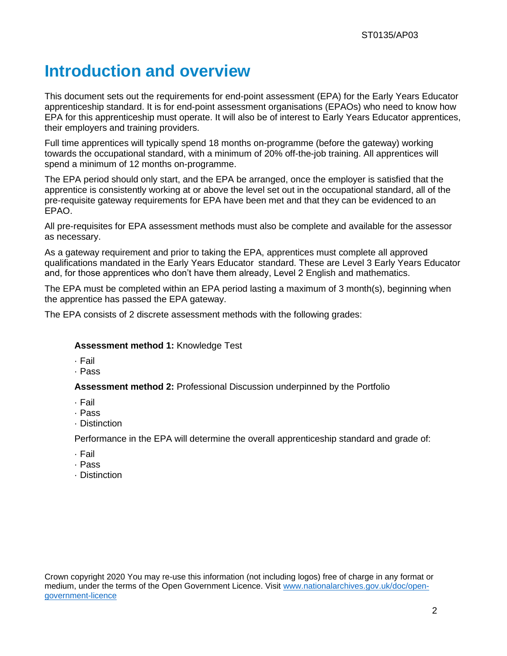## <span id="page-1-0"></span>**Introduction and overview**

This document sets out the requirements for end-point assessment (EPA) for the Early Years Educator apprenticeship standard. It is for end-point assessment organisations (EPAOs) who need to know how EPA for this apprenticeship must operate. It will also be of interest to Early Years Educator apprentices, their employers and training providers.

Full time apprentices will typically spend 18 months on-programme (before the gateway) working towards the occupational standard, with a minimum of 20% off-the-job training. All apprentices will spend a minimum of 12 months on-programme.

The EPA period should only start, and the EPA be arranged, once the employer is satisfied that the apprentice is consistently working at or above the level set out in the occupational standard, all of the pre-requisite gateway requirements for EPA have been met and that they can be evidenced to an EPAO.

All pre-requisites for EPA assessment methods must also be complete and available for the assessor as necessary.

As a gateway requirement and prior to taking the EPA, apprentices must complete all approved qualifications mandated in the Early Years Educator standard. These are Level 3 Early Years Educator and, for those apprentices who don't have them already, Level 2 English and mathematics.

The EPA must be completed within an EPA period lasting a maximum of 3 month(s), beginning when the apprentice has passed the EPA gateway.

The EPA consists of 2 discrete assessment methods with the following grades:

#### **Assessment method 1:** Knowledge Test

- · Fail
- · Pass

**Assessment method 2:** Professional Discussion underpinned by the Portfolio

- · Fail
- · Pass
- · Distinction

Performance in the EPA will determine the overall apprenticeship standard and grade of:

- · Fail
- · Pass
- · Distinction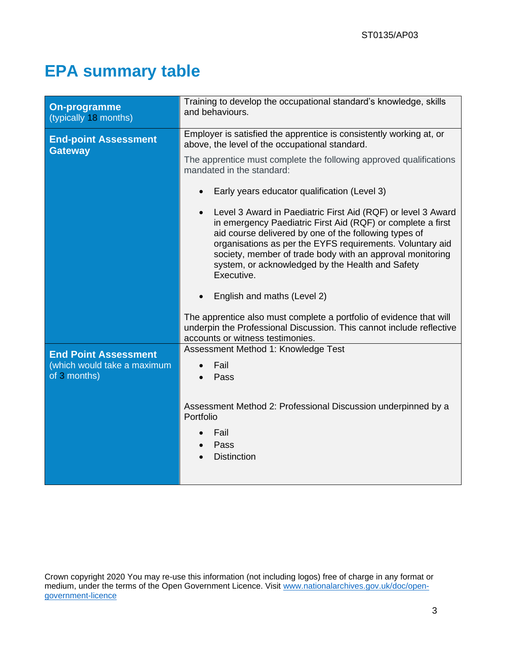# **EPA summary table**

| <b>On-programme</b><br>(typically 18 months)  | Training to develop the occupational standard's knowledge, skills<br>and behaviours.                                                                                                                                                                                                                                                                                                          |  |  |
|-----------------------------------------------|-----------------------------------------------------------------------------------------------------------------------------------------------------------------------------------------------------------------------------------------------------------------------------------------------------------------------------------------------------------------------------------------------|--|--|
| <b>End-point Assessment</b><br><b>Gateway</b> | Employer is satisfied the apprentice is consistently working at, or<br>above, the level of the occupational standard.                                                                                                                                                                                                                                                                         |  |  |
|                                               | The apprentice must complete the following approved qualifications<br>mandated in the standard:                                                                                                                                                                                                                                                                                               |  |  |
|                                               | Early years educator qualification (Level 3)<br>$\bullet$                                                                                                                                                                                                                                                                                                                                     |  |  |
|                                               | Level 3 Award in Paediatric First Aid (RQF) or level 3 Award<br>$\bullet$<br>in emergency Paediatric First Aid (RQF) or complete a first<br>aid course delivered by one of the following types of<br>organisations as per the EYFS requirements. Voluntary aid<br>society, member of trade body with an approval monitoring<br>system, or acknowledged by the Health and Safety<br>Executive. |  |  |
|                                               | English and maths (Level 2)                                                                                                                                                                                                                                                                                                                                                                   |  |  |
|                                               | The apprentice also must complete a portfolio of evidence that will<br>underpin the Professional Discussion. This cannot include reflective<br>accounts or witness testimonies.                                                                                                                                                                                                               |  |  |
| <b>End Point Assessment</b>                   | Assessment Method 1: Knowledge Test                                                                                                                                                                                                                                                                                                                                                           |  |  |
| (which would take a maximum<br>of 3 months)   | Fail<br>Pass                                                                                                                                                                                                                                                                                                                                                                                  |  |  |
|                                               | Assessment Method 2: Professional Discussion underpinned by a<br>Portfolio<br>Fail<br>Pass<br><b>Distinction</b>                                                                                                                                                                                                                                                                              |  |  |
|                                               |                                                                                                                                                                                                                                                                                                                                                                                               |  |  |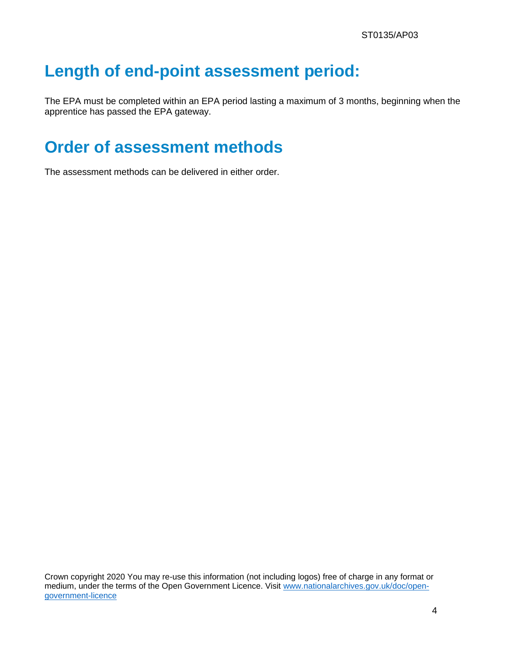# **Length of end-point assessment period:**

The EPA must be completed within an EPA period lasting a maximum of 3 months, beginning when the apprentice has passed the EPA gateway.

# **Order of assessment methods**

The assessment methods can be delivered in either order.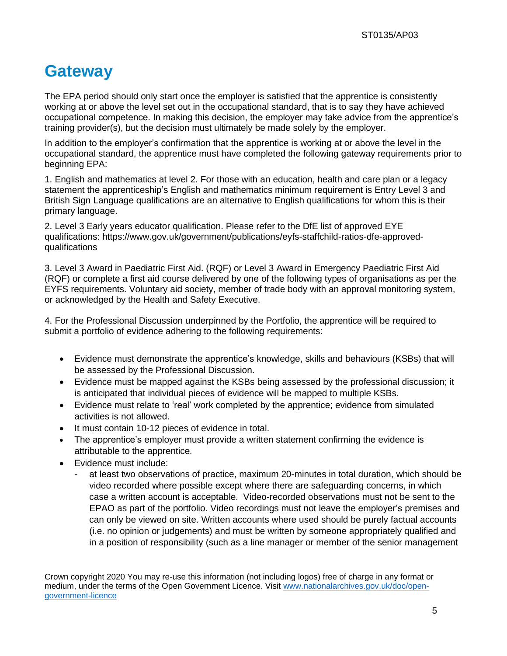# **Gateway**

The EPA period should only start once the employer is satisfied that the apprentice is consistently working at or above the level set out in the occupational standard, that is to say they have achieved occupational competence. In making this decision, the employer may take advice from the apprentice's training provider(s), but the decision must ultimately be made solely by the employer.

In addition to the employer's confirmation that the apprentice is working at or above the level in the occupational standard, the apprentice must have completed the following gateway requirements prior to beginning EPA:

1. English and mathematics at level 2. For those with an education, health and care plan or a legacy statement the apprenticeship's English and mathematics minimum requirement is Entry Level 3 and British Sign Language qualifications are an alternative to English qualifications for whom this is their primary language.

2. Level 3 Early years educator qualification. Please refer to the DfE list of approved EYE qualifications: [https://www.gov.uk/government/publications/eyfs-staffchild-ratios-dfe-approved](https://www.gov.uk/government/publications/eyfs-staffchild-ratios-dfe-approved-qualifications)[qualifications](https://www.gov.uk/government/publications/eyfs-staffchild-ratios-dfe-approved-qualifications)

3. Level 3 Award in Paediatric First Aid. (RQF) or Level 3 Award in Emergency Paediatric First Aid (RQF) or complete a first aid course delivered by one of the following types of organisations as per the EYFS requirements. Voluntary aid society, member of trade body with an approval monitoring system, or acknowledged by the Health and Safety Executive.

4. For the Professional Discussion underpinned by the Portfolio, the apprentice will be required to submit a portfolio of evidence adhering to the following requirements:

- Evidence must demonstrate the apprentice's knowledge, skills and behaviours (KSBs) that will be assessed by the Professional Discussion.
- Evidence must be mapped against the KSBs being assessed by the professional discussion; it is anticipated that individual pieces of evidence will be mapped to multiple KSBs.
- Evidence must relate to 'real' work completed by the apprentice; evidence from simulated activities is not allowed.
- It must contain 10-12 pieces of evidence in total.
- The apprentice's employer must provide a written statement confirming the evidence is attributable to the apprentice.
- Evidence must include:
	- at least two observations of practice, maximum 20-minutes in total duration, which should be video recorded where possible except where there are safeguarding concerns, in which case a written account is acceptable. Video-recorded observations must not be sent to the EPAO as part of the portfolio. Video recordings must not leave the employer's premises and can only be viewed on site. Written accounts where used should be purely factual accounts (i.e. no opinion or judgements) and must be written by someone appropriately qualified and in a position of responsibility (such as a line manager or member of the senior management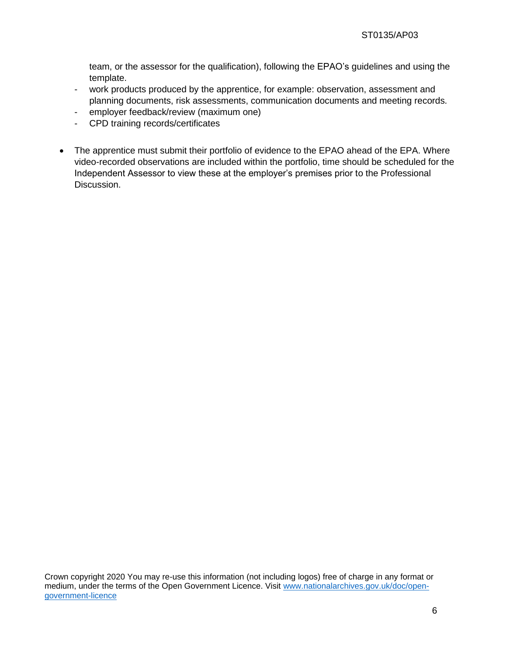team, or the assessor for the qualification), following the EPAO's guidelines and using the template.

- work products produced by the apprentice, for example: observation, assessment and planning documents, risk assessments, communication documents and meeting records.
- employer feedback/review (maximum one)
- CPD training records/certificates
- The apprentice must submit their portfolio of evidence to the EPAO ahead of the EPA. Where video-recorded observations are included within the portfolio, time should be scheduled for the Independent Assessor to view these at the employer's premises prior to the Professional Discussion.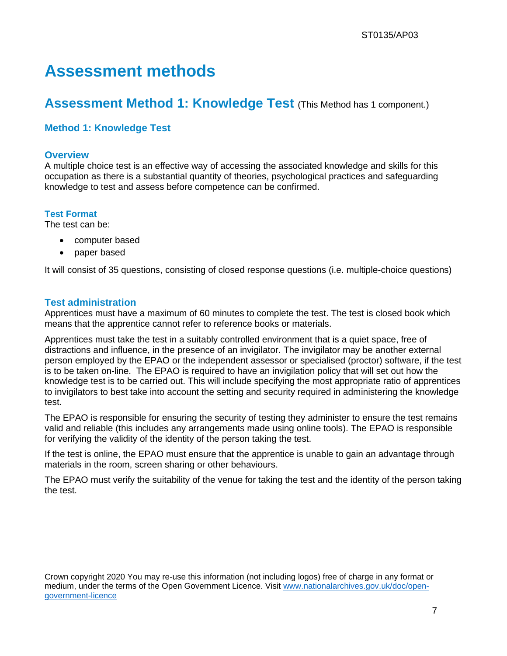## **Assessment methods**

### **Assessment Method 1: Knowledge Test** (This Method has 1 component.)

#### **Method 1: Knowledge Test**

#### **Overview**

A multiple choice test is an effective way of accessing the associated knowledge and skills for this occupation as there is a substantial quantity of theories, psychological practices and safeguarding knowledge to test and assess before competence can be confirmed.

#### **Test Format**

The test can be:

- computer based
- paper based

It will consist of 35 questions, consisting of closed response questions (i.e. multiple-choice questions)

#### **Test administration**

Apprentices must have a maximum of 60 minutes to complete the test. The test is closed book which means that the apprentice cannot refer to reference books or materials.

Apprentices must take the test in a suitably controlled environment that is a quiet space, free of distractions and influence, in the presence of an invigilator. The invigilator may be another external person employed by the EPAO or the independent assessor or specialised (proctor) software, if the test is to be taken on-line. The EPAO is required to have an invigilation policy that will set out how the knowledge test is to be carried out. This will include specifying the most appropriate ratio of apprentices to invigilators to best take into account the setting and security required in administering the knowledge test.

The EPAO is responsible for ensuring the security of testing they administer to ensure the test remains valid and reliable (this includes any arrangements made using online tools). The EPAO is responsible for verifying the validity of the identity of the person taking the test.

If the test is online, the EPAO must ensure that the apprentice is unable to gain an advantage through materials in the room, screen sharing or other behaviours.

The EPAO must verify the suitability of the venue for taking the test and the identity of the person taking the test.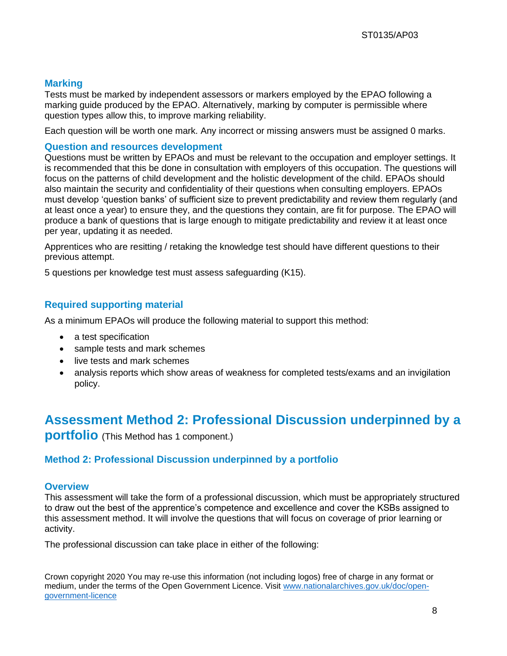#### **Marking**

Tests must be marked by independent assessors or markers employed by the EPAO following a marking guide produced by the EPAO. Alternatively, marking by computer is permissible where question types allow this, to improve marking reliability.

Each question will be worth one mark. Any incorrect or missing answers must be assigned 0 marks.

#### **Question and resources development**

Questions must be written by EPAOs and must be relevant to the occupation and employer settings. It is recommended that this be done in consultation with employers of this occupation. The questions will focus on the patterns of child development and the holistic development of the child. EPAOs should also maintain the security and confidentiality of their questions when consulting employers. EPAOs must develop 'question banks' of sufficient size to prevent predictability and review them regularly (and at least once a year) to ensure they, and the questions they contain, are fit for purpose. The EPAO will produce a bank of questions that is large enough to mitigate predictability and review it at least once per year, updating it as needed.

Apprentices who are resitting / retaking the knowledge test should have different questions to their previous attempt.

5 questions per knowledge test must assess safeguarding (K15).

#### **Required supporting material**

As a minimum EPAOs will produce the following material to support this method:

- a test specification
- sample tests and mark schemes
- live tests and mark schemes
- analysis reports which show areas of weakness for completed tests/exams and an invigilation policy.

### **Assessment Method 2: Professional Discussion underpinned by a**

**portfolio** (This Method has 1 component.)

#### **Method 2: Professional Discussion underpinned by a portfolio**

#### **Overview**

This assessment will take the form of a professional discussion, which must be appropriately structured to draw out the best of the apprentice's competence and excellence and cover the KSBs assigned to this assessment method. It will involve the questions that will focus on coverage of prior learning or activity.

The professional discussion can take place in either of the following: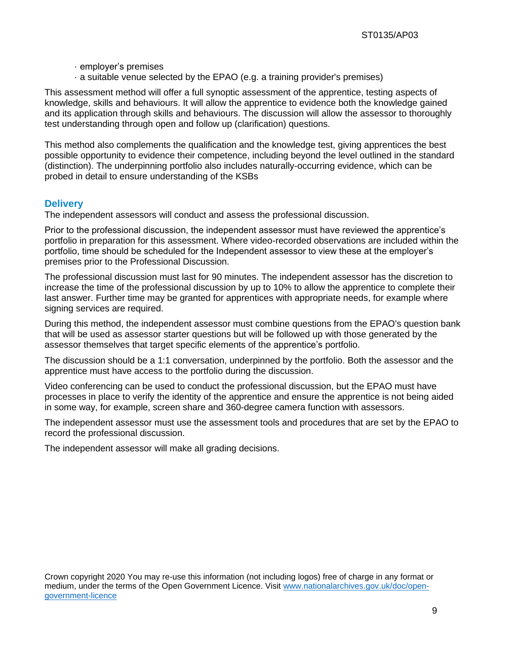- · employer's premises
- · a suitable venue selected by the EPAO (e.g. a training provider's premises)

This assessment method will offer a full synoptic assessment of the apprentice, testing aspects of knowledge, skills and behaviours. It will allow the apprentice to evidence both the knowledge gained and its application through skills and behaviours. The discussion will allow the assessor to thoroughly test understanding through open and follow up (clarification) questions.

This method also complements the qualification and the knowledge test, giving apprentices the best possible opportunity to evidence their competence, including beyond the level outlined in the standard (distinction). The underpinning portfolio also includes naturally-occurring evidence, which can be probed in detail to ensure understanding of the KSBs

#### **Delivery**

The independent assessors will conduct and assess the professional discussion.

Prior to the professional discussion, the independent assessor must have reviewed the apprentice's portfolio in preparation for this assessment. Where video-recorded observations are included within the portfolio, time should be scheduled for the Independent assessor to view these at the employer's premises prior to the Professional Discussion.

The professional discussion must last for 90 minutes. The independent assessor has the discretion to increase the time of the professional discussion by up to 10% to allow the apprentice to complete their last answer. Further time may be granted for apprentices with appropriate needs, for example where signing services are required.

During this method, the independent assessor must combine questions from the EPAO's question bank that will be used as assessor starter questions but will be followed up with those generated by the assessor themselves that target specific elements of the apprentice's portfolio.

The discussion should be a 1:1 conversation, underpinned by the portfolio. Both the assessor and the apprentice must have access to the portfolio during the discussion.

Video conferencing can be used to conduct the professional discussion, but the EPAO must have processes in place to verify the identity of the apprentice and ensure the apprentice is not being aided in some way, for example, screen share and 360-degree camera function with assessors.

The independent assessor must use the assessment tools and procedures that are set by the EPAO to record the professional discussion.

The independent assessor will make all grading decisions.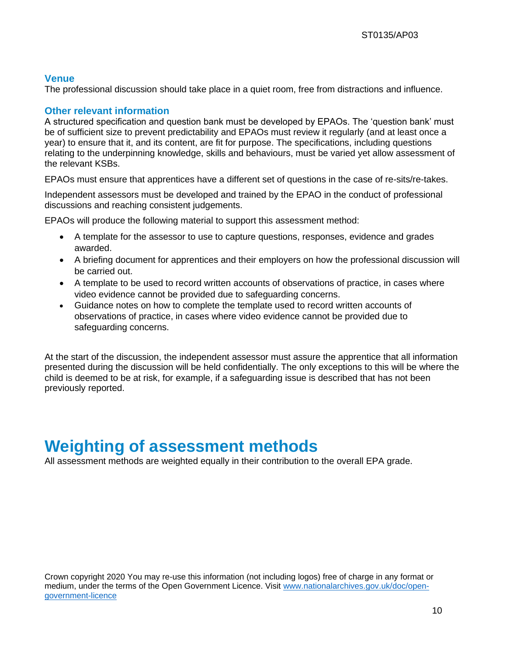#### **Venue**

The professional discussion should take place in a quiet room, free from distractions and influence.

#### **Other relevant information**

A structured specification and question bank must be developed by EPAOs. The 'question bank' must be of sufficient size to prevent predictability and EPAOs must review it regularly (and at least once a year) to ensure that it, and its content, are fit for purpose. The specifications, including questions relating to the underpinning knowledge, skills and behaviours, must be varied yet allow assessment of the relevant KSBs.

EPAOs must ensure that apprentices have a different set of questions in the case of re-sits/re-takes.

Independent assessors must be developed and trained by the EPAO in the conduct of professional discussions and reaching consistent judgements.

EPAOs will produce the following material to support this assessment method:

- A template for the assessor to use to capture questions, responses, evidence and grades awarded.
- A briefing document for apprentices and their employers on how the professional discussion will be carried out.
- A template to be used to record written accounts of observations of practice, in cases where video evidence cannot be provided due to safeguarding concerns.
- Guidance notes on how to complete the template used to record written accounts of observations of practice, in cases where video evidence cannot be provided due to safeguarding concerns.

At the start of the discussion, the independent assessor must assure the apprentice that all information presented during the discussion will be held confidentially. The only exceptions to this will be where the child is deemed to be at risk, for example, if a safeguarding issue is described that has not been previously reported.

## **Weighting of assessment methods**

All assessment methods are weighted equally in their contribution to the overall EPA grade.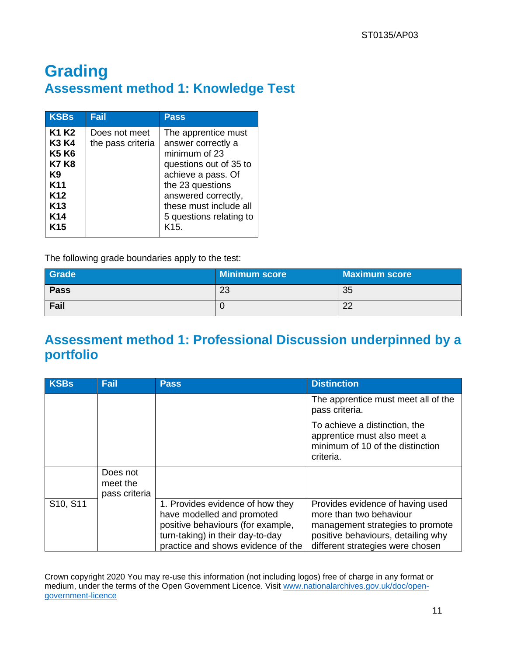## **Grading Assessment method 1: Knowledge Test**

| <b>KSBs</b>                                                                                                                                                | Fail                               | <b>Pass</b>                                                                                                                                                                                                                     |
|------------------------------------------------------------------------------------------------------------------------------------------------------------|------------------------------------|---------------------------------------------------------------------------------------------------------------------------------------------------------------------------------------------------------------------------------|
| K1 K2<br><b>K3 K4</b><br><b>K5 K6</b><br><b>K7 K8</b><br>K9<br>K <sub>11</sub><br>K <sub>12</sub><br>K <sub>13</sub><br>K <sub>14</sub><br>K <sub>15</sub> | Does not meet<br>the pass criteria | The apprentice must<br>answer correctly a<br>minimum of 23<br>questions out of 35 to<br>achieve a pass. Of<br>the 23 questions<br>answered correctly,<br>these must include all<br>5 questions relating to<br>K <sub>15</sub> . |

The following grade boundaries apply to the test:

| Grade       | <b>Minimum score</b> | <b>Maximum score</b> |
|-------------|----------------------|----------------------|
| <b>Pass</b> | 23                   | 35                   |
| Fail        |                      | $\Omega$<br>∠∠       |

### **Assessment method 1: Professional Discussion underpinned by a portfolio**

| <b>KSBs</b> | Fail                                  | <b>Pass</b>                                                                                                                                                                   | <b>Distinction</b>                                                                                                                                                        |
|-------------|---------------------------------------|-------------------------------------------------------------------------------------------------------------------------------------------------------------------------------|---------------------------------------------------------------------------------------------------------------------------------------------------------------------------|
|             |                                       |                                                                                                                                                                               | The apprentice must meet all of the<br>pass criteria.                                                                                                                     |
|             |                                       |                                                                                                                                                                               | To achieve a distinction, the<br>apprentice must also meet a<br>minimum of 10 of the distinction<br>criteria.                                                             |
|             | Does not<br>meet the<br>pass criteria |                                                                                                                                                                               |                                                                                                                                                                           |
| S10, S11    |                                       | 1. Provides evidence of how they<br>have modelled and promoted<br>positive behaviours (for example,<br>turn-taking) in their day-to-day<br>practice and shows evidence of the | Provides evidence of having used<br>more than two behaviour<br>management strategies to promote<br>positive behaviours, detailing why<br>different strategies were chosen |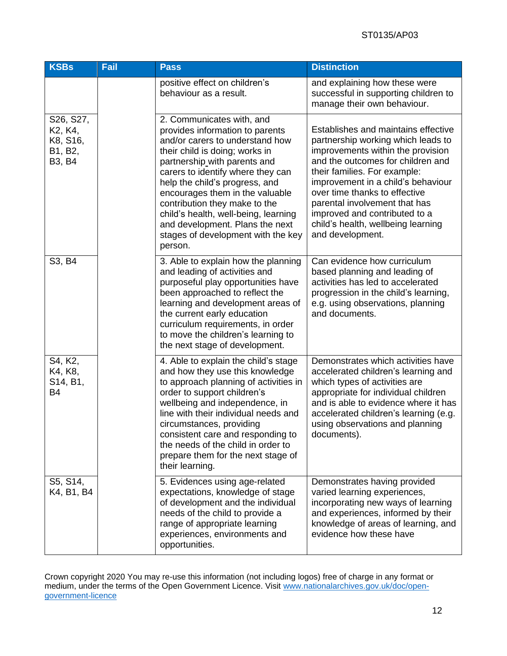| <b>KSBs</b>                                                                                              | Fail | <b>Pass</b>                                                                                                                                                                                                                                                                                                                                                                                                                              | <b>Distinction</b>                                                                                                                                                                                                                                                                                                                                                                     |
|----------------------------------------------------------------------------------------------------------|------|------------------------------------------------------------------------------------------------------------------------------------------------------------------------------------------------------------------------------------------------------------------------------------------------------------------------------------------------------------------------------------------------------------------------------------------|----------------------------------------------------------------------------------------------------------------------------------------------------------------------------------------------------------------------------------------------------------------------------------------------------------------------------------------------------------------------------------------|
|                                                                                                          |      | positive effect on children's<br>behaviour as a result.                                                                                                                                                                                                                                                                                                                                                                                  | and explaining how these were<br>successful in supporting children to<br>manage their own behaviour.                                                                                                                                                                                                                                                                                   |
| S26, S27,<br>K <sub>2</sub> , K <sub>4</sub> ,<br>K8, S16,<br>B1, B2,<br>B <sub>3</sub> , B <sub>4</sub> |      | 2. Communicates with, and<br>provides information to parents<br>and/or carers to understand how<br>their child is doing; works in<br>partnership with parents and<br>carers to identify where they can<br>help the child's progress, and<br>encourages them in the valuable<br>contribution they make to the<br>child's health, well-being, learning<br>and development. Plans the next<br>stages of development with the key<br>person. | Establishes and maintains effective<br>partnership working which leads to<br>improvements within the provision<br>and the outcomes for children and<br>their families. For example:<br>improvement in a child's behaviour<br>over time thanks to effective<br>parental involvement that has<br>improved and contributed to a<br>child's health, wellbeing learning<br>and development. |
| S3, B4                                                                                                   |      | 3. Able to explain how the planning<br>and leading of activities and<br>purposeful play opportunities have<br>been approached to reflect the<br>learning and development areas of<br>the current early education<br>curriculum requirements, in order<br>to move the children's learning to<br>the next stage of development.                                                                                                            | Can evidence how curriculum<br>based planning and leading of<br>activities has led to accelerated<br>progression in the child's learning,<br>e.g. using observations, planning<br>and documents.                                                                                                                                                                                       |
| S4, K2,<br>K4, K8,<br>S14, B1,<br><b>B4</b>                                                              |      | 4. Able to explain the child's stage<br>and how they use this knowledge<br>to approach planning of activities in<br>order to support children's<br>wellbeing and independence, in<br>line with their individual needs and<br>circumstances, providing<br>consistent care and responding to<br>the needs of the child in order to<br>prepare them for the next stage of<br>their learning.                                                | Demonstrates which activities have<br>accelerated children's learning and<br>which types of activities are<br>appropriate for individual children<br>and is able to evidence where it has<br>accelerated children's learning (e.g.<br>using observations and planning<br>documents).                                                                                                   |
| S5, S14,<br>K4, B1, B4                                                                                   |      | 5. Evidences using age-related<br>expectations, knowledge of stage<br>of development and the individual<br>needs of the child to provide a<br>range of appropriate learning<br>experiences, environments and<br>opportunities.                                                                                                                                                                                                           | Demonstrates having provided<br>varied learning experiences,<br>incorporating new ways of learning<br>and experiences, informed by their<br>knowledge of areas of learning, and<br>evidence how these have                                                                                                                                                                             |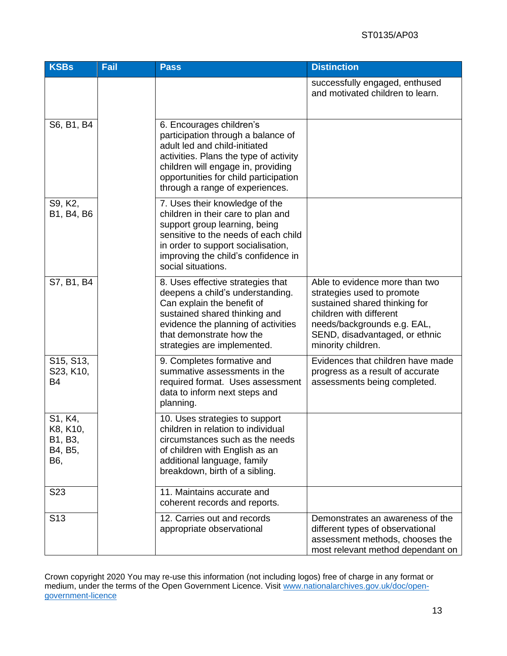| <b>KSBs</b>                                                   | Fail | <b>Pass</b>                                                                                                                                                                                                                                                 | <b>Distinction</b>                                                                                                                                                                                              |
|---------------------------------------------------------------|------|-------------------------------------------------------------------------------------------------------------------------------------------------------------------------------------------------------------------------------------------------------------|-----------------------------------------------------------------------------------------------------------------------------------------------------------------------------------------------------------------|
|                                                               |      |                                                                                                                                                                                                                                                             | successfully engaged, enthused<br>and motivated children to learn.                                                                                                                                              |
| S6, B1, B4                                                    |      | 6. Encourages children's<br>participation through a balance of<br>adult led and child-initiated<br>activities. Plans the type of activity<br>children will engage in, providing<br>opportunities for child participation<br>through a range of experiences. |                                                                                                                                                                                                                 |
| S9, K2,<br>B1, B4, B6                                         |      | 7. Uses their knowledge of the<br>children in their care to plan and<br>support group learning, being<br>sensitive to the needs of each child<br>in order to support socialisation,<br>improving the child's confidence in<br>social situations.            |                                                                                                                                                                                                                 |
| S7, B1, B4                                                    |      | 8. Uses effective strategies that<br>deepens a child's understanding.<br>Can explain the benefit of<br>sustained shared thinking and<br>evidence the planning of activities<br>that demonstrate how the<br>strategies are implemented.                      | Able to evidence more than two<br>strategies used to promote<br>sustained shared thinking for<br>children with different<br>needs/backgrounds e.g. EAL,<br>SEND, disadvantaged, or ethnic<br>minority children. |
| S <sub>15</sub> , S <sub>13</sub> ,<br>S23, K10,<br><b>B4</b> |      | 9. Completes formative and<br>summative assessments in the<br>required format. Uses assessment<br>data to inform next steps and<br>planning.                                                                                                                | Evidences that children have made<br>progress as a result of accurate<br>assessments being completed.                                                                                                           |
| S1, K4,<br>K8, K10,<br>B1, B3,<br>B4, B5,<br>B6,              |      | 10. Uses strategies to support<br>children in relation to individual<br>circumstances such as the needs<br>of children with English as an<br>additional language, family<br>breakdown, birth of a sibling.                                                  |                                                                                                                                                                                                                 |
| S <sub>23</sub>                                               |      | 11. Maintains accurate and<br>coherent records and reports.                                                                                                                                                                                                 |                                                                                                                                                                                                                 |
| S <sub>13</sub>                                               |      | 12. Carries out and records<br>appropriate observational                                                                                                                                                                                                    | Demonstrates an awareness of the<br>different types of observational<br>assessment methods, chooses the<br>most relevant method dependant on                                                                    |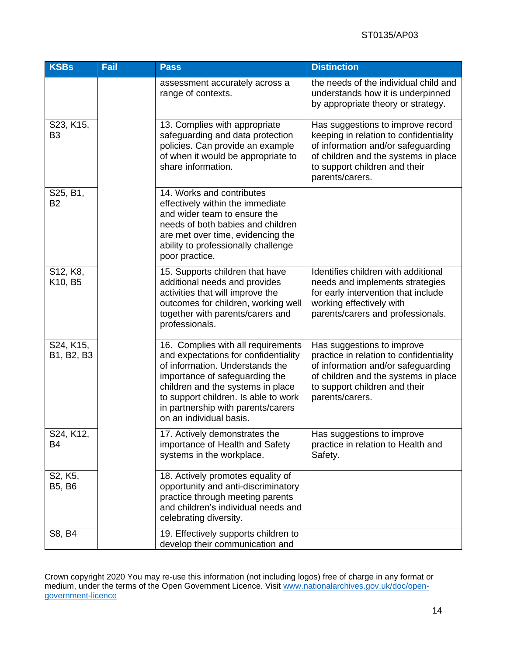| <b>KSBs</b>                 | Fail | <b>Pass</b>                                                                                                                                                                                                                                                                                   | <b>Distinction</b>                                                                                                                                                                                            |
|-----------------------------|------|-----------------------------------------------------------------------------------------------------------------------------------------------------------------------------------------------------------------------------------------------------------------------------------------------|---------------------------------------------------------------------------------------------------------------------------------------------------------------------------------------------------------------|
|                             |      | assessment accurately across a<br>range of contexts.                                                                                                                                                                                                                                          | the needs of the individual child and<br>understands how it is underpinned<br>by appropriate theory or strategy.                                                                                              |
| S23, K15,<br>B <sub>3</sub> |      | 13. Complies with appropriate<br>safeguarding and data protection<br>policies. Can provide an example<br>of when it would be appropriate to<br>share information.                                                                                                                             | Has suggestions to improve record<br>keeping in relation to confidentiality<br>of information and/or safeguarding<br>of children and the systems in place<br>to support children and their<br>parents/carers. |
| S25, B1,<br><b>B2</b>       |      | 14. Works and contributes<br>effectively within the immediate<br>and wider team to ensure the<br>needs of both babies and children<br>are met over time, evidencing the<br>ability to professionally challenge<br>poor practice.                                                              |                                                                                                                                                                                                               |
| S12, K8,<br>K10, B5         |      | 15. Supports children that have<br>additional needs and provides<br>activities that will improve the<br>outcomes for children, working well<br>together with parents/carers and<br>professionals.                                                                                             | Identifies children with additional<br>needs and implements strategies<br>for early intervention that include<br>working effectively with<br>parents/carers and professionals.                                |
| S24, K15,<br>B1, B2, B3     |      | 16. Complies with all requirements<br>and expectations for confidentiality<br>of information. Understands the<br>importance of safeguarding the<br>children and the systems in place<br>to support children. Is able to work<br>in partnership with parents/carers<br>on an individual basis. | Has suggestions to improve<br>practice in relation to confidentiality<br>of information and/or safeguarding<br>of children and the systems in place<br>to support children and their<br>parents/carers.       |
| S24, K12,<br><b>B4</b>      |      | 17. Actively demonstrates the<br>importance of Health and Safety<br>systems in the workplace.                                                                                                                                                                                                 | Has suggestions to improve<br>practice in relation to Health and<br>Safety.                                                                                                                                   |
| S2, K5,<br><b>B5, B6</b>    |      | 18. Actively promotes equality of<br>opportunity and anti-discriminatory<br>practice through meeting parents<br>and children's individual needs and<br>celebrating diversity.                                                                                                                 |                                                                                                                                                                                                               |
| S8, B4                      |      | 19. Effectively supports children to<br>develop their communication and                                                                                                                                                                                                                       |                                                                                                                                                                                                               |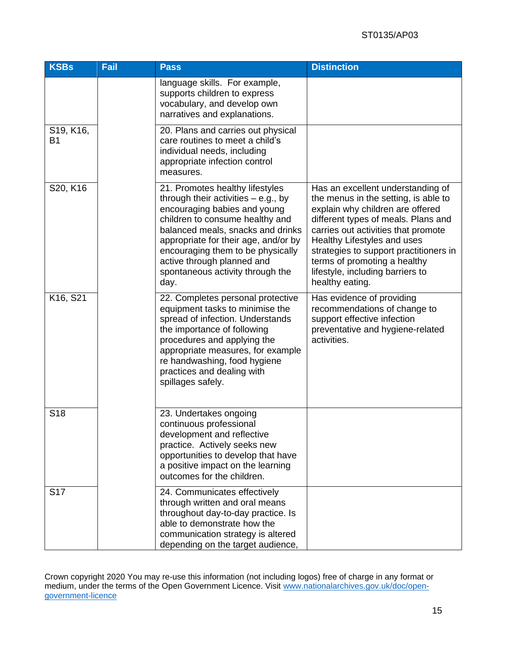#### ST0135/AP03

| <b>KSBs</b>            | Fail | <b>Pass</b>                                                                                                                                                                                                                                                                                                                             | <b>Distinction</b>                                                                                                                                                                                                                                                                                                                                          |
|------------------------|------|-----------------------------------------------------------------------------------------------------------------------------------------------------------------------------------------------------------------------------------------------------------------------------------------------------------------------------------------|-------------------------------------------------------------------------------------------------------------------------------------------------------------------------------------------------------------------------------------------------------------------------------------------------------------------------------------------------------------|
|                        |      | language skills. For example,<br>supports children to express<br>vocabulary, and develop own<br>narratives and explanations.                                                                                                                                                                                                            |                                                                                                                                                                                                                                                                                                                                                             |
| S19, K16,<br><b>B1</b> |      | 20. Plans and carries out physical<br>care routines to meet a child's<br>individual needs, including<br>appropriate infection control<br>measures.                                                                                                                                                                                      |                                                                                                                                                                                                                                                                                                                                                             |
| S20, K16               |      | 21. Promotes healthy lifestyles<br>through their activities $-$ e.g., by<br>encouraging babies and young<br>children to consume healthy and<br>balanced meals, snacks and drinks<br>appropriate for their age, and/or by<br>encouraging them to be physically<br>active through planned and<br>spontaneous activity through the<br>day. | Has an excellent understanding of<br>the menus in the setting, is able to<br>explain why children are offered<br>different types of meals. Plans and<br>carries out activities that promote<br>Healthy Lifestyles and uses<br>strategies to support practitioners in<br>terms of promoting a healthy<br>lifestyle, including barriers to<br>healthy eating. |
| K16, S21               |      | 22. Completes personal protective<br>equipment tasks to minimise the<br>spread of infection. Understands<br>the importance of following<br>procedures and applying the<br>appropriate measures, for example<br>re handwashing, food hygiene<br>practices and dealing with<br>spillages safely.                                          | Has evidence of providing<br>recommendations of change to<br>support effective infection<br>preventative and hygiene-related<br>activities.                                                                                                                                                                                                                 |
| S <sub>18</sub>        |      | 23. Undertakes ongoing<br>continuous professional<br>development and reflective<br>practice. Actively seeks new<br>opportunities to develop that have<br>a positive impact on the learning<br>outcomes for the children.                                                                                                                |                                                                                                                                                                                                                                                                                                                                                             |
| S <sub>17</sub>        |      | 24. Communicates effectively<br>through written and oral means<br>throughout day-to-day practice. Is<br>able to demonstrate how the<br>communication strategy is altered<br>depending on the target audience,                                                                                                                           |                                                                                                                                                                                                                                                                                                                                                             |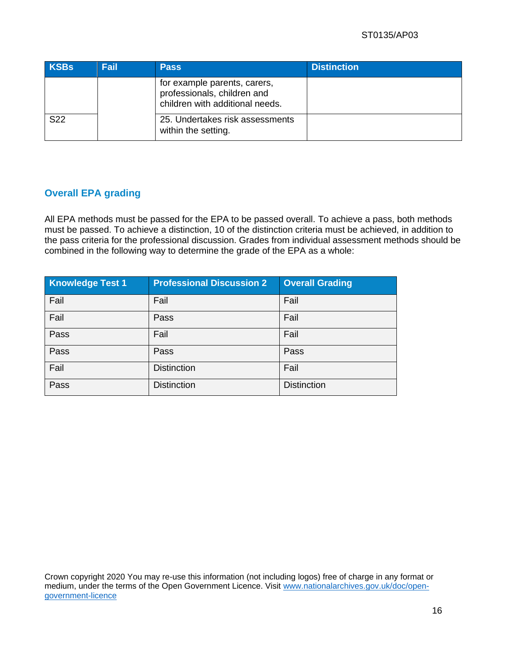#### ST0135/AP03

| <b>KSBs</b>     | <b>Fail</b> | <b>Pass</b>                                                                                    | <b>Distinction</b> |
|-----------------|-------------|------------------------------------------------------------------------------------------------|--------------------|
|                 |             | for example parents, carers,<br>professionals, children and<br>children with additional needs. |                    |
| S <sub>22</sub> |             | 25. Undertakes risk assessments<br>within the setting.                                         |                    |

#### **Overall EPA grading**

All EPA methods must be passed for the EPA to be passed overall. To achieve a pass, both methods must be passed. To achieve a distinction, 10 of the distinction criteria must be achieved, in addition to the pass criteria for the professional discussion. Grades from individual assessment methods should be combined in the following way to determine the grade of the EPA as a whole:

| <b>Knowledge Test 1</b> | <b>Professional Discussion 2</b> | <b>Overall Grading</b> |
|-------------------------|----------------------------------|------------------------|
| Fail                    | Fail                             | Fail                   |
| Fail                    | Pass                             | Fail                   |
| Pass                    | Fail                             | Fail                   |
| Pass                    | Pass                             | Pass                   |
| Fail                    | <b>Distinction</b>               | Fail                   |
| Pass                    | <b>Distinction</b>               | <b>Distinction</b>     |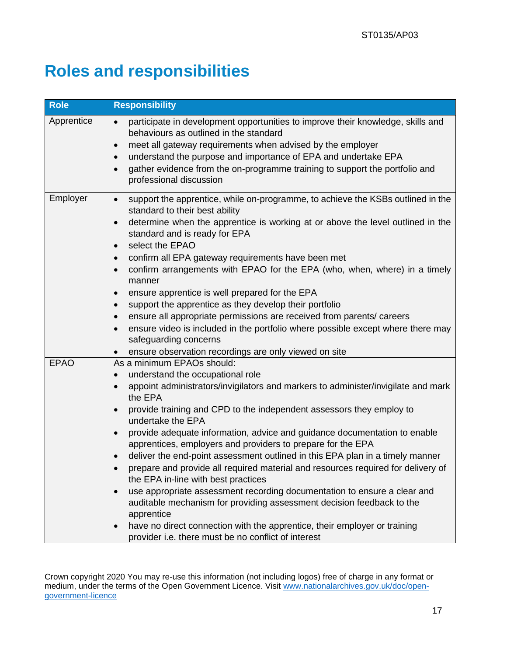# **Roles and responsibilities**

| <b>Role</b> | <b>Responsibility</b>                                                                                                                     |
|-------------|-------------------------------------------------------------------------------------------------------------------------------------------|
| Apprentice  | participate in development opportunities to improve their knowledge, skills and<br>$\bullet$<br>behaviours as outlined in the standard    |
|             | meet all gateway requirements when advised by the employer<br>$\bullet$<br>understand the purpose and importance of EPA and undertake EPA |
|             | $\bullet$<br>gather evidence from the on-programme training to support the portfolio and                                                  |
|             | $\bullet$<br>professional discussion                                                                                                      |
| Employer    | support the apprentice, while on-programme, to achieve the KSBs outlined in the<br>$\bullet$<br>standard to their best ability            |
|             | determine when the apprentice is working at or above the level outlined in the<br>$\bullet$<br>standard and is ready for EPA              |
|             | select the EPAO<br>$\bullet$                                                                                                              |
|             | confirm all EPA gateway requirements have been met<br>$\bullet$                                                                           |
|             | confirm arrangements with EPAO for the EPA (who, when, where) in a timely<br>$\bullet$<br>manner                                          |
|             | ensure apprentice is well prepared for the EPA                                                                                            |
|             | support the apprentice as they develop their portfolio<br>$\bullet$                                                                       |
|             | ensure all appropriate permissions are received from parents/ careers<br>$\bullet$                                                        |
|             | ensure video is included in the portfolio where possible except where there may                                                           |
|             | safeguarding concerns                                                                                                                     |
|             | ensure observation recordings are only viewed on site<br>$\bullet$                                                                        |
| <b>EPAO</b> | As a minimum EPAOs should:                                                                                                                |
|             | understand the occupational role<br>$\bullet$                                                                                             |
|             | appoint administrators/invigilators and markers to administer/invigilate and mark<br>the EPA                                              |
|             | provide training and CPD to the independent assessors they employ to<br>$\bullet$<br>undertake the EPA                                    |
|             | provide adequate information, advice and guidance documentation to enable<br>apprentices, employers and providers to prepare for the EPA  |
|             | deliver the end-point assessment outlined in this EPA plan in a timely manner                                                             |
|             | prepare and provide all required material and resources required for delivery of<br>$\bullet$<br>the EPA in-line with best practices      |
|             | use appropriate assessment recording documentation to ensure a clear and<br>$\bullet$                                                     |
|             | auditable mechanism for providing assessment decision feedback to the<br>apprentice                                                       |
|             | have no direct connection with the apprentice, their employer or training                                                                 |
|             | provider i.e. there must be no conflict of interest                                                                                       |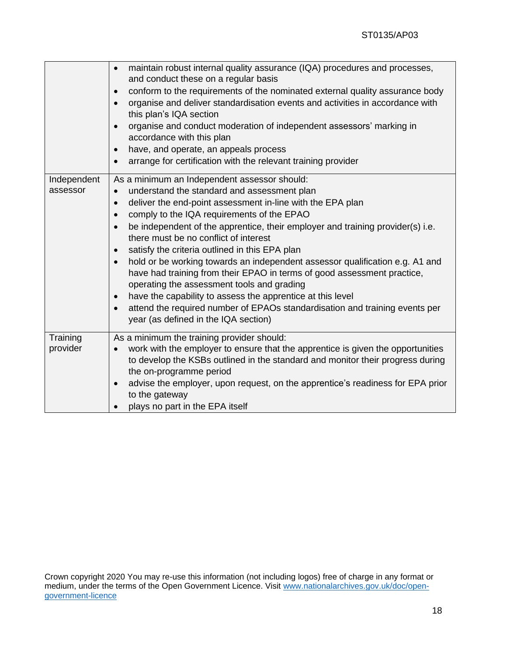|                         | maintain robust internal quality assurance (IQA) procedures and processes,<br>and conduct these on a regular basis<br>conform to the requirements of the nominated external quality assurance body<br>$\bullet$<br>organise and deliver standardisation events and activities in accordance with<br>$\bullet$<br>this plan's IQA section<br>organise and conduct moderation of independent assessors' marking in<br>$\bullet$<br>accordance with this plan<br>have, and operate, an appeals process<br>$\bullet$<br>arrange for certification with the relevant training provider                                                                                                                                                                                                                                                                                             |
|-------------------------|-------------------------------------------------------------------------------------------------------------------------------------------------------------------------------------------------------------------------------------------------------------------------------------------------------------------------------------------------------------------------------------------------------------------------------------------------------------------------------------------------------------------------------------------------------------------------------------------------------------------------------------------------------------------------------------------------------------------------------------------------------------------------------------------------------------------------------------------------------------------------------|
| Independent<br>assessor | As a minimum an Independent assessor should:<br>understand the standard and assessment plan<br>$\bullet$<br>deliver the end-point assessment in-line with the EPA plan<br>$\bullet$<br>comply to the IQA requirements of the EPAO<br>$\bullet$<br>be independent of the apprentice, their employer and training provider(s) i.e.<br>there must be no conflict of interest<br>satisfy the criteria outlined in this EPA plan<br>$\bullet$<br>hold or be working towards an independent assessor qualification e.g. A1 and<br>$\bullet$<br>have had training from their EPAO in terms of good assessment practice,<br>operating the assessment tools and grading<br>have the capability to assess the apprentice at this level<br>$\bullet$<br>attend the required number of EPAOs standardisation and training events per<br>$\bullet$<br>year (as defined in the IQA section) |
| Training<br>provider    | As a minimum the training provider should:<br>work with the employer to ensure that the apprentice is given the opportunities<br>to develop the KSBs outlined in the standard and monitor their progress during<br>the on-programme period<br>advise the employer, upon request, on the apprentice's readiness for EPA prior<br>$\bullet$<br>to the gateway<br>plays no part in the EPA itself<br>$\bullet$                                                                                                                                                                                                                                                                                                                                                                                                                                                                   |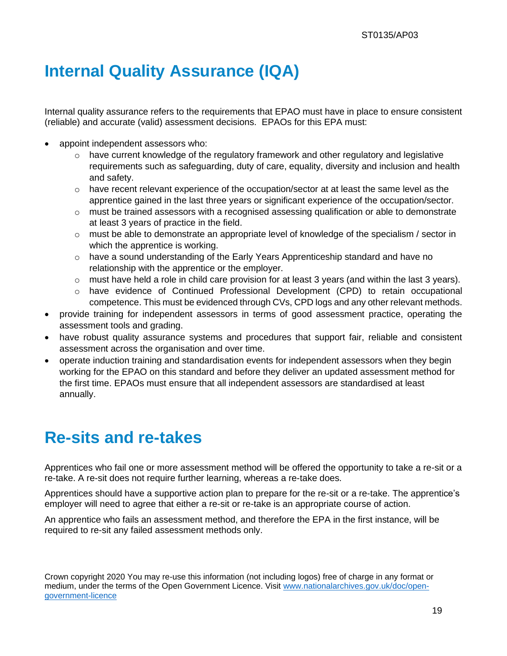# **Internal Quality Assurance (IQA)**

Internal quality assurance refers to the requirements that EPAO must have in place to ensure consistent (reliable) and accurate (valid) assessment decisions. EPAOs for this EPA must:

- appoint independent assessors who:
	- $\circ$  have current knowledge of the regulatory framework and other regulatory and legislative requirements such as safeguarding, duty of care, equality, diversity and inclusion and health and safety.
	- $\circ$  have recent relevant experience of the occupation/sector at at least the same level as the apprentice gained in the last three years or significant experience of the occupation/sector.
	- $\circ$  must be trained assessors with a recognised assessing qualification or able to demonstrate at least 3 years of practice in the field.
	- $\circ$  must be able to demonstrate an appropriate level of knowledge of the specialism / sector in which the apprentice is working.
	- $\circ$  have a sound understanding of the Early Years Apprenticeship standard and have no relationship with the apprentice or the employer.
	- $\circ$  must have held a role in child care provision for at least 3 years (and within the last 3 years).
	- o have evidence of Continued Professional Development (CPD) to retain occupational competence. This must be evidenced through CVs, CPD logs and any other relevant methods.
- provide training for independent assessors in terms of good assessment practice, operating the assessment tools and grading.
- have robust quality assurance systems and procedures that support fair, reliable and consistent assessment across the organisation and over time.
- operate induction training and standardisation events for independent assessors when they begin working for the EPAO on this standard and before they deliver an updated assessment method for the first time. EPAOs must ensure that all independent assessors are standardised at least annually.

# **Re-sits and re-takes**

Apprentices who fail one or more assessment method will be offered the opportunity to take a re-sit or a re-take. A re-sit does not require further learning, whereas a re-take does.

Apprentices should have a supportive action plan to prepare for the re-sit or a re-take. The apprentice's employer will need to agree that either a re-sit or re-take is an appropriate course of action.

An apprentice who fails an assessment method, and therefore the EPA in the first instance, will be required to re-sit any failed assessment methods only.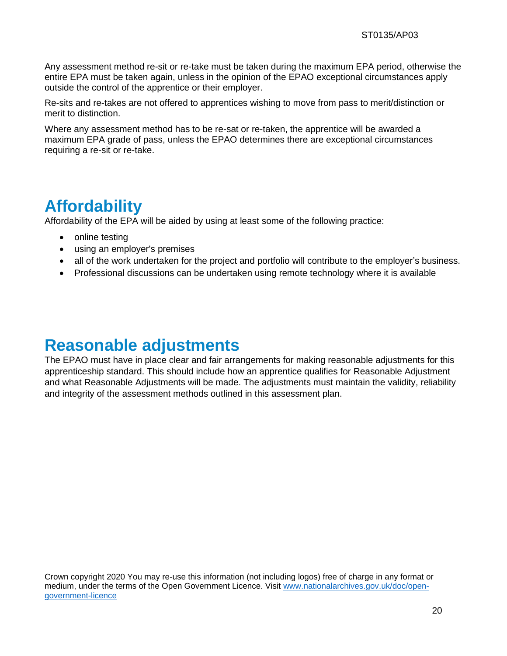Any assessment method re-sit or re-take must be taken during the maximum EPA period, otherwise the entire EPA must be taken again, unless in the opinion of the EPAO exceptional circumstances apply outside the control of the apprentice or their employer.

Re-sits and re-takes are not offered to apprentices wishing to move from pass to merit/distinction or merit to distinction.

Where any assessment method has to be re-sat or re-taken, the apprentice will be awarded a maximum EPA grade of pass, unless the EPAO determines there are exceptional circumstances requiring a re-sit or re-take.

## **Affordability**

Affordability of the EPA will be aided by using at least some of the following practice:

- online testing
- using an employer's premises
- all of the work undertaken for the project and portfolio will contribute to the employer's business.
- Professional discussions can be undertaken using remote technology where it is available

### **Reasonable adjustments**

The EPAO must have in place clear and fair arrangements for making reasonable adjustments for this apprenticeship standard. This should include how an apprentice qualifies for Reasonable Adjustment and what Reasonable Adjustments will be made. The adjustments must maintain the validity, reliability and integrity of the assessment methods outlined in this assessment plan.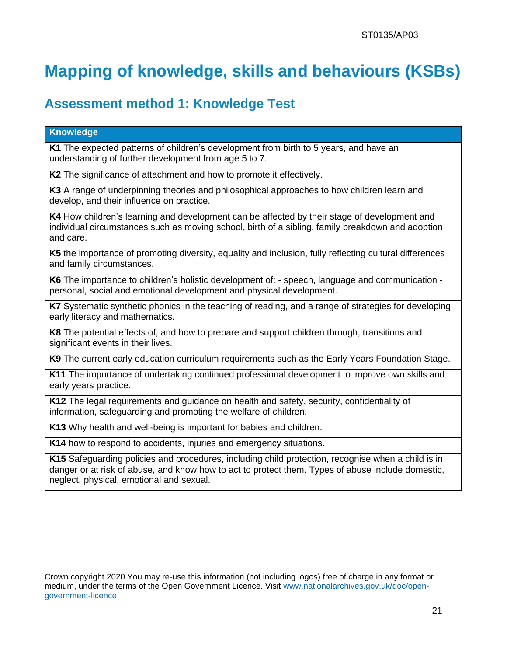# **Mapping of knowledge, skills and behaviours (KSBs)**

### **Assessment method 1: Knowledge Test**

#### **Knowledge**

**K1** The expected patterns of children's development from birth to 5 years, and have an understanding of further development from age 5 to 7.

**K2** The significance of attachment and how to promote it effectively.

**K3** A range of underpinning theories and philosophical approaches to how children learn and develop, and their influence on practice.

**K4** How children's learning and development can be affected by their stage of development and individual circumstances such as moving school, birth of a sibling, family breakdown and adoption and care.

**K5** the importance of promoting diversity, equality and inclusion, fully reflecting cultural differences and family circumstances.

**K6** The importance to children's holistic development of: - speech, language and communication personal, social and emotional development and physical development.

**K7** Systematic synthetic phonics in the teaching of reading, and a range of strategies for developing early literacy and mathematics.

**K8** The potential effects of, and how to prepare and support children through, transitions and significant events in their lives.

**K9** The current early education curriculum requirements such as the Early Years Foundation Stage.

**K11** The importance of undertaking continued professional development to improve own skills and early years practice.

**K12** The legal requirements and guidance on health and safety, security, confidentiality of information, safeguarding and promoting the welfare of children.

**K13** Why health and well-being is important for babies and children.

**K14** how to respond to accidents, injuries and emergency situations.

**K15** Safeguarding policies and procedures, including child protection, recognise when a child is in danger or at risk of abuse, and know how to act to protect them. Types of abuse include domestic, neglect, physical, emotional and sexual.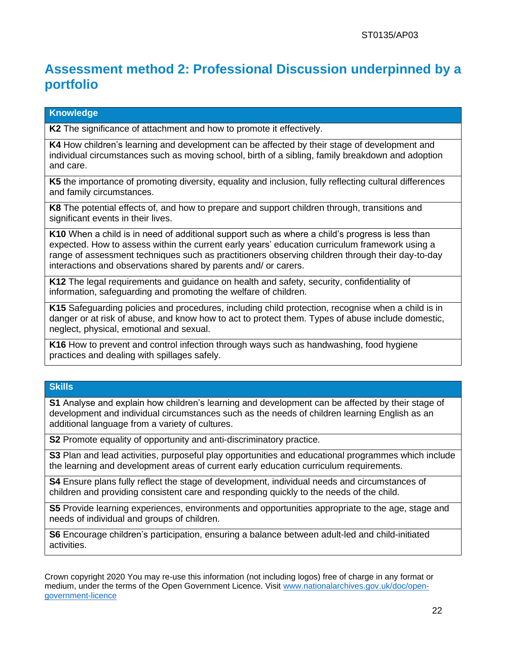### **Assessment method 2: Professional Discussion underpinned by a portfolio**

#### **Knowledge**

**K2** The significance of attachment and how to promote it effectively.

**K4** How children's learning and development can be affected by their stage of development and individual circumstances such as moving school, birth of a sibling, family breakdown and adoption and care.

**K5** the importance of promoting diversity, equality and inclusion, fully reflecting cultural differences and family circumstances.

**K8** The potential effects of, and how to prepare and support children through, transitions and significant events in their lives.

**K10** When a child is in need of additional support such as where a child's progress is less than expected. How to assess within the current early years' education curriculum framework using a range of assessment techniques such as practitioners observing children through their day-to-day interactions and observations shared by parents and/ or carers.

**K12** The legal requirements and guidance on health and safety, security, confidentiality of information, safeguarding and promoting the welfare of children.

**K15** Safeguarding policies and procedures, including child protection, recognise when a child is in danger or at risk of abuse, and know how to act to protect them. Types of abuse include domestic, neglect, physical, emotional and sexual.

**K16** How to prevent and control infection through ways such as handwashing, food hygiene practices and dealing with spillages safely.

#### **Skills**

**S1** Analyse and explain how children's learning and development can be affected by their stage of development and individual circumstances such as the needs of children learning English as an additional language from a variety of cultures.

**S2** Promote equality of opportunity and anti-discriminatory practice.

**S3** Plan and lead activities, purposeful play opportunities and educational programmes which include the learning and development areas of current early education curriculum requirements.

**S4** Ensure plans fully reflect the stage of development, individual needs and circumstances of children and providing consistent care and responding quickly to the needs of the child.

**S5** Provide learning experiences, environments and opportunities appropriate to the age, stage and needs of individual and groups of children.

**S6** Encourage children's participation, ensuring a balance between adult-led and child-initiated activities.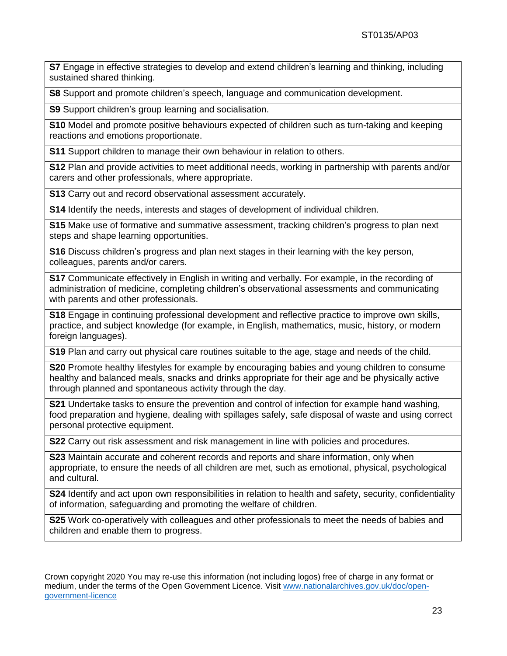**S7** Engage in effective strategies to develop and extend children's learning and thinking, including sustained shared thinking.

**S8** Support and promote children's speech, language and communication development.

**S9** Support children's group learning and socialisation.

**S10** Model and promote positive behaviours expected of children such as turn-taking and keeping reactions and emotions proportionate.

**S11** Support children to manage their own behaviour in relation to others.

**S12** Plan and provide activities to meet additional needs, working in partnership with parents and/or carers and other professionals, where appropriate.

**S13** Carry out and record observational assessment accurately.

**S14** Identify the needs, interests and stages of development of individual children.

**S15** Make use of formative and summative assessment, tracking children's progress to plan next steps and shape learning opportunities.

**S16** Discuss children's progress and plan next stages in their learning with the key person, colleagues, parents and/or carers.

**S17** Communicate effectively in English in writing and verbally. For example, in the recording of administration of medicine, completing children's observational assessments and communicating with parents and other professionals.

**S18** Engage in continuing professional development and reflective practice to improve own skills, practice, and subject knowledge (for example, in English, mathematics, music, history, or modern foreign languages).

**S19** Plan and carry out physical care routines suitable to the age, stage and needs of the child.

**S20** Promote healthy lifestyles for example by encouraging babies and young children to consume healthy and balanced meals, snacks and drinks appropriate for their age and be physically active through planned and spontaneous activity through the day.

**S21** Undertake tasks to ensure the prevention and control of infection for example hand washing, food preparation and hygiene, dealing with spillages safely, safe disposal of waste and using correct personal protective equipment.

**S22** Carry out risk assessment and risk management in line with policies and procedures.

**S23** Maintain accurate and coherent records and reports and share information, only when appropriate, to ensure the needs of all children are met, such as emotional, physical, psychological and cultural.

**S24** Identify and act upon own responsibilities in relation to health and safety, security, confidentiality of information, safeguarding and promoting the welfare of children.

**S25** Work co-operatively with colleagues and other professionals to meet the needs of babies and children and enable them to progress.